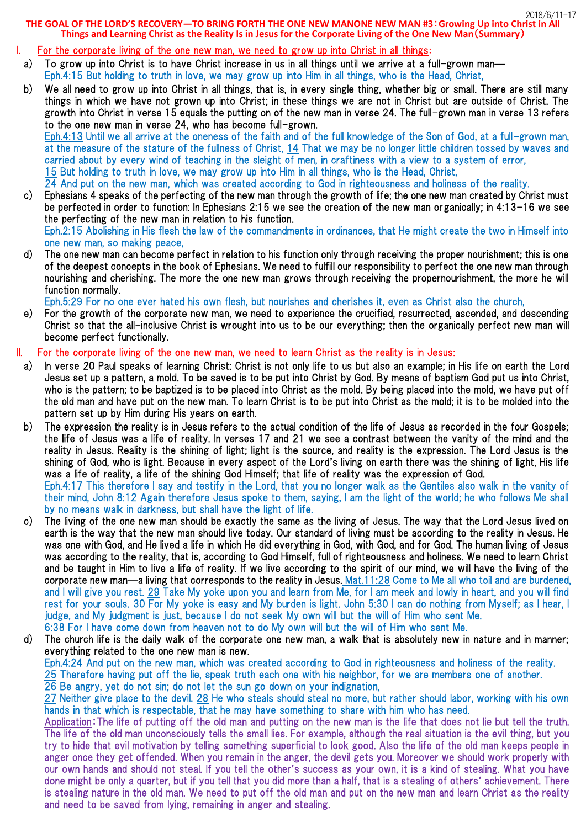2018/6/11-17

**THE GOAL OF THE LORD'S RECOVERY—TO BRING FORTH THE ONE NEW MANONE NEW MAN #3**:**Growing Up into Christ in All Things and Learning Christ as the Reality Is in Jesus for the Corporate Living of the One New Man**(**Summary**)

# I. For the corporate living of the one new man, we need to grow up into Christ in all things:

- a) To grow up into Christ is to have Christ increase in us in all things until we arrive at a full-grown man— Eph.4:15 But holding to truth in love, we may grow up into Him in all things, who is the Head, Christ,
- b) We all need to grow up into Christ in all things, that is, in every single thing, whether big or small. There are still many things in which we have not grown up into Christ; in these things we are not in Christ but are outside of Christ. The growth into Christ in verse 15 equals the putting on of the new man in verse 24. The full-grown man in verse 13 refers to the one new man in verse 24, who has become full-grown. Eph.4:13 Until we all arrive at the oneness of the faith and of the full knowledge of the Son of God, at a full-grown man, at the measure of the stature of the fullness of Christ, 14 That we may be no longer little children tossed by waves and carried about by every wind of teaching in the sleight of men, in craftiness with a view to a system of error, 15 But holding to truth in love, we may grow up into Him in all things, who is the Head, Christ,
- 24 And put on the new man, which was created according to God in righteousness and holiness of the reality. c) Ephesians 4 speaks of the perfecting of the new man through the growth of life; the one new man created by Christ must

be perfected in order to function: In Ephesians 2:15 we see the creation of the new man organically; in 4:13-16 we see the perfecting of the new man in relation to his function.

Eph.2:15 Abolishing in His flesh the law of the commandments in ordinances, that He might create the two in Himself into one new man, so making peace,

d) The one new man can become perfect in relation to his function only through receiving the proper nourishment; this is one of the deepest concepts in the book of Ephesians. We need to fulfill our responsibility to perfect the one new man through nourishing and cherishing. The more the one new man grows through receiving the propernourishment, the more he will function normally.

Eph.5:29 For no one ever hated his own flesh, but nourishes and cherishes it, even as Christ also the church,

e) For the growth of the corporate new man, we need to experience the crucified, resurrected, ascended, and descending Christ so that the all-inclusive Christ is wrought into us to be our everything; then the organically perfect new man will become perfect functionally.

## II. For the corporate living of the one new man, we need to learn Christ as the reality is in Jesus:

- a) In verse 20 Paul speaks of learning Christ: Christ is not only life to us but also an example; in His life on earth the Lord Jesus set up a pattern, a mold. To be saved is to be put into Christ by God. By means of baptism God put us into Christ, who is the pattern; to be baptized is to be placed into Christ as the mold. By being placed into the mold, we have put off the old man and have put on the new man. To learn Christ is to be put into Christ as the mold; it is to be molded into the pattern set up by Him during His years on earth.
- b) The expression the reality is in Jesus refers to the actual condition of the life of Jesus as recorded in the four Gospels; the life of Jesus was a life of reality. In verses 17 and 21 we see a contrast between the vanity of the mind and the reality in Jesus. Reality is the shining of light; light is the source, and reality is the expression. The Lord Jesus is the shining of God, who is light. Because in every aspect of the Lord's living on earth there was the shining of light, His life was a life of reality, a life of the shining God Himself; that life of reality was the expression of God. Eph.4:17 This therefore I say and testify in the Lord, that you no longer walk as the Gentiles also walk in the vanity of

their mind, John 8:12 Again therefore Jesus spoke to them, saying, I am the light of the world; he who follows Me shall by no means walk in darkness, but shall have the light of life.

- c) The living of the one new man should be exactly the same as the living of Jesus. The way that the Lord Jesus lived on earth is the way that the new man should live today. Our standard of living must be according to the reality in Jesus. He was one with God, and He lived a life in which He did everything in God, with God, and for God. The human living of Jesus was according to the reality, that is, according to God Himself, full of righteousness and holiness. We need to learn Christ and be taught in Him to live a life of reality. If we live according to the spirit of our mind, we will have the living of the corporate new man—a living that corresponds to the reality in Jesus. Mat.11:28 Come to Me all who toil and are burdened, and I will give you rest. 29 Take My yoke upon you and learn from Me, for I am meek and lowly in heart, and you will find rest for your souls. 30 For My yoke is easy and My burden is light. John 5:30 I can do nothing from Myself; as I hear, I judge, and My judgment is just, because I do not seek My own will but the will of Him who sent Me. 6:38 For I have come down from heaven not to do My own will but the will of Him who sent Me.
- d) The church life is the daily walk of the corporate one new man, a walk that is absolutely new in nature and in manner; everything related to the one new man is new. Eph.4:24 And put on the new man, which was created according to God in righteousness and holiness of the reality. 25 Therefore having put off the lie, speak truth each one with his neighbor, for we are members one of another. 26 Be angry, yet do not sin; do not let the sun go down on your indignation,

27 Neither give place to the devil. 28 He who steals should steal no more, but rather should labor, working with his own hands in that which is respectable, that he may have something to share with him who has need.

Application:The life of putting off the old man and putting on the new man is the life that does not lie but tell the truth. The life of the old man unconsciously tells the small lies. For example, although the real situation is the evil thing, but you try to hide that evil motivation by telling something superficial to look good. Also the life of the old man keeps people in anger once they get offended. When you remain in the anger, the devil gets you. Moreover we should work properly with our own hands and should not steal. If you tell the other's success as your own, it is a kind of stealing. What you have done might be only a quarter, but if you tell that you did more than a half, that is a stealing of others' achievement. There is stealing nature in the old man. We need to put off the old man and put on the new man and learn Christ as the reality and need to be saved from lying, remaining in anger and stealing.